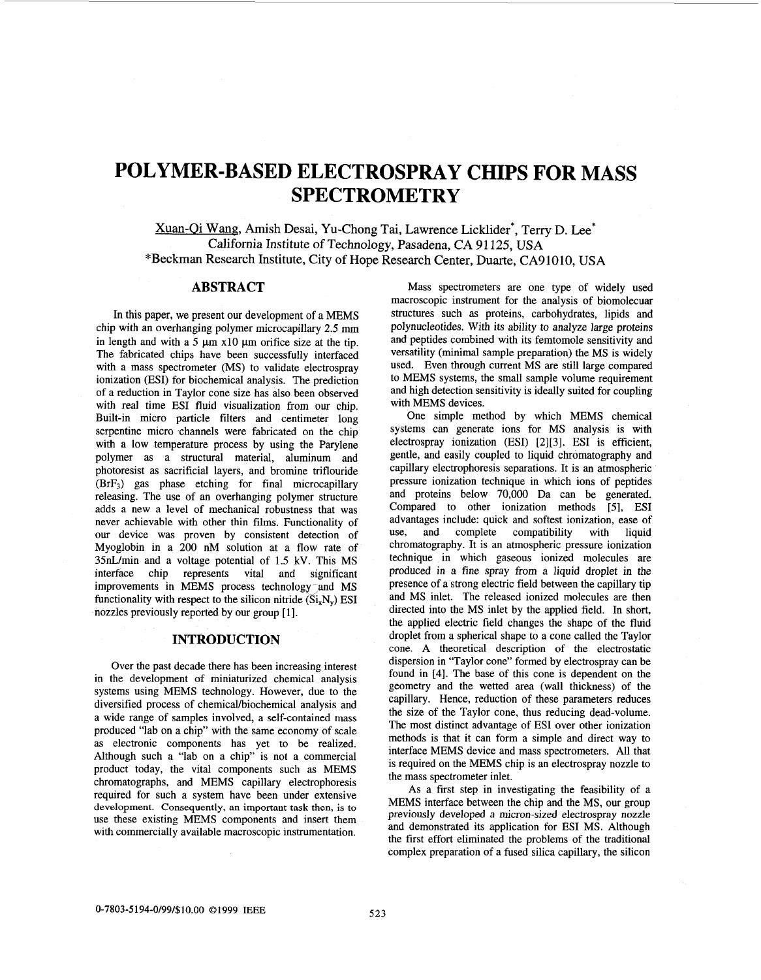# **POLYMER-BASED ELECTROSPRAY CHIPS FOR MASS SPECTROMETRY**

Xuan-Oi Wang, Amish Desai, Yu-Chong Tai, Lawrence Licklider\*, Terry D. Lee\* California Institute of Technology, Pasadena, CA 91 125, USA "Beckman Research Institute, City **of** Hope Research Center, Duarte, CA91010, USA

# **ABSTRACT**

In this paper, we present our development of a MEMS chip with an overhanging polymer microcapillary **2.5** mm in length and with a 5  $\mu$ m x10  $\mu$ m orifice size at the tip. The fabricated chips have been successfully interfaced with a mass spectrometer (MS) to validate electrospray ionization (ESI) for biochemical analysis. The prediction of a reduction in Taylor cone size has also been observed with real time ESI fluid visualization from our chip. Built-in micro particle filters and centimeter long serpentine micro channels were fabricated on the chip with a low temperature process by using the Parylene polymer as a structural material, aluminum and photoresist as sacrificial layers, and bromine triflouride (BrF3) gas phase etching for final microcapillary releasing. The use of an overhanging polymer structure adds a new a level of mechanical robustness that was never achievable with other thin films. Functionality of our device was proven by consistent detection of Myoglobin in a 200 nM solution at a flow rate of 35nLlmin and a voltage potential of 1.5 **kV.** This MS interface chip represents vital and significant improvements in MEMS process technology and MS functionality with respect to the silicon nitride  $(Si_xN_y)$  ESI nozzles previously reported by our group [1].

#### **INTRODUCTION**

Over the past decade there has been increasing interest in the development of miniaturized chemical analysis systems using MEMS technology. However, due to the diversified process of chemical/biochemical analysis and a wide range of samples involved, a self-contained mass produced "lab on a chip" with the same economy of scale as electronic components has yet to be realized. Although such a "lab on a chip" is not a commercial product today, the vital components such as MEMS chromatographs, and MEMS capillary electrophoresis required for such a system have been under extensive development. Consequently, an important task then, is to use these existing MEMS components and insert them with commercially available macroscopic instrumentation.

Mass spectrometers are one type of widely used macroscopic instrument for the analysis of biomolecuar structures such as proteins, carbohydrates, lipids and polynucleotides. With its ability *to* analyze large proteins and peptides combined with its femtomole sensitivity and versatility (minimal sample preparation) the MS is widely used. Even through current MS are still large compared to MEMS systems, the small sample volume requirement and high detection sensitivity is ideally suited for coupling with MEMS devices.

One simple method by which MEMS chemical systems can generate ions for MS analysis is with electrospray ionization (ESI) [2][3]. ESI is efficient, gentle, and easily coupled to liquid chromatography and capillary electrophoresis separations. It is **an** atmospheric pressure ionization technique in which ions of peptides and proteins below 70,000 Da can be generated. Compared to other ionization methods [5], ESI advantages include: quick and softest ionization, ease of use, and complete compatibility with liquid chromatography. It is an atmospheric pressure ionization technique in which gaseous ionized molecules are produced in a fine spray from a liquid droplet in the presence of a strong electric field between the capillary tip and MS inlet. The released ionized molecules are then directed into the MS inlet by the applied field. In short, the applied electric field changes the shape of the fluid droplet from a spherical shape to a cone called the Taylor cone. A theoretical description of the electrostatic dispersion in "Taylor cone" formed by electrospray can be found in **[4].** The base of this cone is dependent on the geometry and the wetted area (wall thickness) of the capillary. Hence, reduction of these parameters reduces the **size** of the Taylor cone, thus reducing dead-volume. The most distinct advantage of ESI over other ionization methods is that it can form a simple and direct way to interface MEMS device and mass spectrometers. All that is required on the MEMS chip is an electrospray nozzle to the mass spectrometer inlet.

As a first step in investigating the feasibility of a MEMS interface between the chip and the MS, our group previously developed a micron-sized electrospray nozzle and demonstrated its application for **ESI MS.** Although the first effort eliminated the problems of the traditional complex preparation of a fused silica capillary, the silicon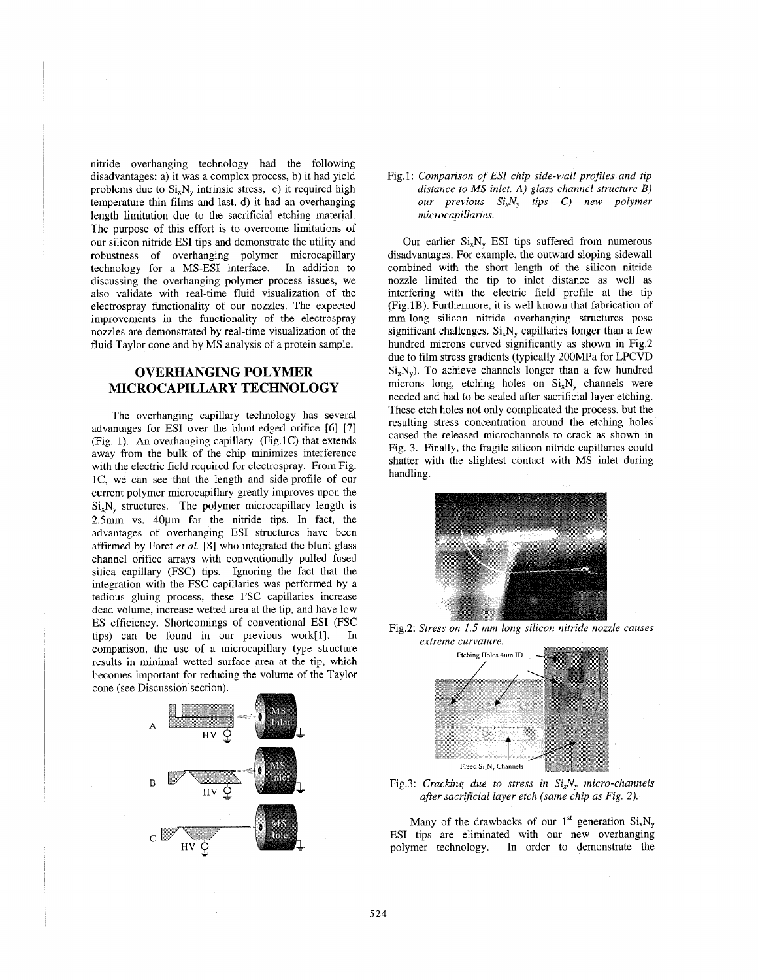nitride overhanging technology had the following disadvantages: a) it was a complex process, b) it had yield problems due to  $Si_xN_y$  intrinsic stress, c) it required high temperature thin films and last, d) it had an overhanging length limitation due to the sacrificial etching material. The purpose of this effort is to overcome limitations of our silicon nitride ESI tips and demonstrate the utility and robustness of overhanging polymer microcapillary technology for a MS-ESI interface. In addition to discussing the overhanging polymer process issues, we also validate with real-time fluid visualization of the electrospray functionality of our nozzles. The expected improvements in the functionality of the electrospray nozzles are demonstrated by real-time visualization of the fluid Taylor cone and by MS analysis of a protein sample.

# **OVERHANGING POLYMER MICROCAPILLARY TECHNOLOGY**

The overhanging capillary technology has several advantages for ESI over the blunt-edged orifice [6] [7] (Fig. 1). **An** overhanging capillary (Fig.lC) that extends away from the bulk of the chip minimizes interference with the electric field required for electrospray. From Fig. IC, we can see that the length and side-profile of our current polymer microcapillary greatly improves upon the  $Si<sub>x</sub>N<sub>y</sub>$  structures. The polymer microcapillary length is  $2.5$ mm vs.  $40 \mu m$  for the nitride tips. In fact, the advantages of overhanging ESI structures have been affirmed by Foret *et al.* [SI who integrated the blunt glass channel orifice arrays with conventionally pulled fused silica capillary (FSC) tips. Ignoring the fact that the integration with the FSC capillaries was performed by a tedious gluing process, these FSC capillaries increase dead volume, increase wetted area at the tip, and have low ES efficiency. Shortcomings of conventional ESI (FSC tips) can be found in our previous work[l]. In comparison, the use of a microcapillary type structure results in minimal wetted surface area at the tip, which becomes important for reducing the volume of the Taylor cone (see Discussion section).



Fig.1: Comparison of ESI chip side-wall profiles and tip *distance to MS inlet.* **A)** *glass channel structure B) our previous SixNy tips* C) *new polymer microcapillaries.* 

Our earlier  $Si_xN_y$  ESI tips suffered from numerous disadvantages. For example, the outward sloping sidewall combined with the short length of the silicon nitride nozzle limited the tip to inlet distance as well as interfering with the electric field profile at the tip (Fig.lB). Furthermore, it is well known that fabrication of mm-long silicon nitride overhanging structures pose significant challenges.  $Si_xN_y$  capillaries longer than a few hundred microns curved significantly as shown in Fig.2 due to film stress gradients (typically 200MPa for LPCVD  $Si_xN_y$ ). To achieve channels longer than a few hundred microns long, etching holes on  $Si<sub>x</sub>N<sub>y</sub>$  channels were needed and had to be sealed after sacrificial layer etching. These etch holes not only complicated the process, but the resulting stress concentration around the etching holes caused the released microchannels to crack as shown in Fig. 3. Finally, the fragile silicon nitride capillaries could shatter with the slightest contact with MS inlet during handling.



Fig.2: *Stress on 1.5 mm long silicon nitride nozzle causes extreme curvature.* 





Many of the drawbacks of our 1<sup>st</sup> generation  $Si<sub>x</sub>N<sub>y</sub>$ ESI tips are eliminated with our new overhanging polymer technology. In order to demonstrate the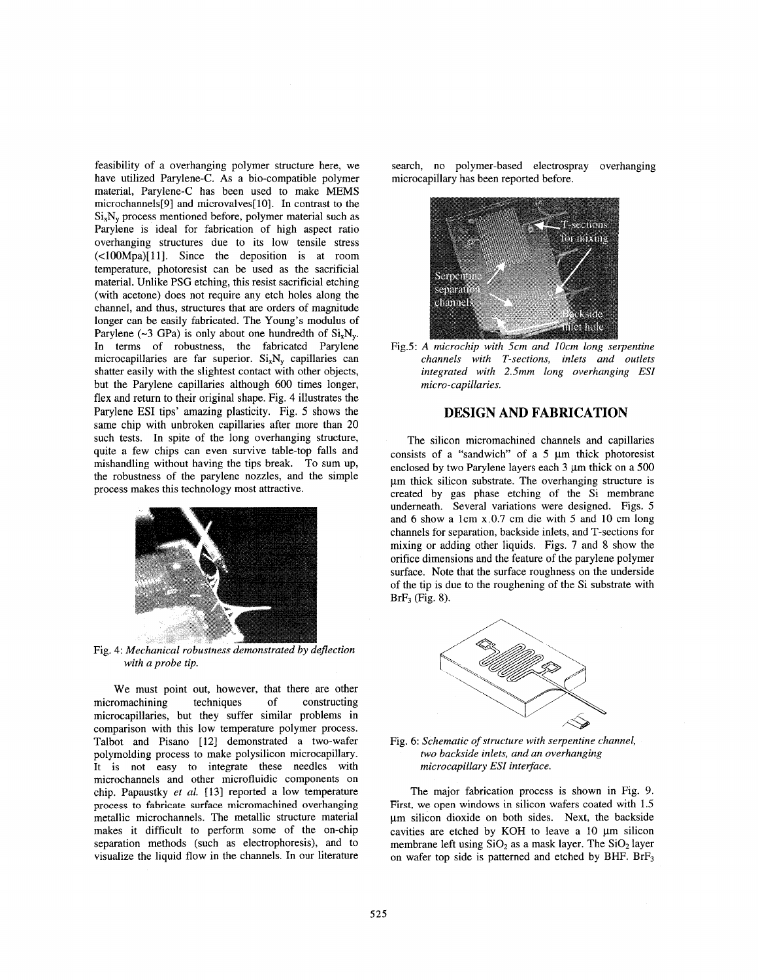feasibility of a overhanging polymer structure here, we have utilized Parylene-C. **As** a bio-compatible polymer material, Parylene-C has been used to make MEMS microchannels[9] and microvalves[10]. In contrast to the  $Si_xN_y$  process mentioned before, polymer material such as Parylene is ideal for fabrication of high aspect ratio overhanging structures due to its low tensile stress (<100Mpa)[11]. Since the deposition is at room temperature, photoresist can be used as the sacrificial material. Unlike PSG etching, this resist sacrificial etching (with acetone) does not require any etch holes along the channel, and thus, structures that are orders of magnitude longer can be easily fabricated. The Young's modulus of Parylene  $(\sim 3 \text{ GPa})$  is only about one hundredth of  $\text{Si}_{x}N_{y}$ . In terms of robustness, the fabricated Parylene microcapillaries are far superior.  $Si_xN_y$  capillaries can shatter easily with the slightest contact with other objects, but the Parylene capillaries although 600 times longer, flex and return to their original shape. Fig. **4** illustrates the Parylene ESI tips' amazing plasticity. Fig. *5* shows the same chip with unbroken capillaries after more than 20 such tests. In spite of the long overhanging structure, quite a few chips can even survive table-top falls and mishandling without having the tips break. To sum up, the robustness of the parylene nozzles, and the simple process makes this technology most attractive.



Fig. 4: *Mechanical robustness demonstrated by deflection with a probe tip.* 

We must point out, however, that there are other micromachining techniques of constructing microcapillaries, but they suffer similar problems in comparison with this low temperature polymer process. Talbot and Pisano [12] demonstrated a two-wafer polymolding process to make polysilicon microcapillary. It is not easy to integrate these needles with microchannels and other microfluidic components on chip. Papaustky *et al.* **[I31** reported a low temperature process to fabricate surface micromachined overhanging metallic microchannels. The metallic structure material makes it difficult to perform some of the on-chip separation methods (such **as** electrophoresis), and to visualize the liquid flow in the channels. In our literature search, no polymer-based electrospray overhanging microcapillary has been reported before.





# **DESIGN AND FABRICATION**

The silicon micromachined channels and capillaries consists of a "sandwich" of a  $5 \mu m$  thick photoresist enclosed by two Parylene layers each 3  $\mu$ m thick on a 500 um thick silicon substrate. The overhanging structure is created by gas phase etching of the Si membrane underneath. Several variations were designed. Figs. 5 and 6 show a lcm x,0.7 cm die with 5 and 10 cm long channels for separation, backside inlets, and T-sections for mixing or adding other liquids. Figs. 7 and 8 show the orifice dimensions and the feature of the parylene polymer surface. Note that the surface roughness on the underside of the tip is due to the roughening of the Si substrate with BrF3 (Fig. **8).** 



Fig. 6: *Schematic of structure with serpentine channel, two backside inlets, and an overhanging microcapillary ESI interface.* 

The major fabrication process is shown in Fig. 9. First, we open windows in silicon wafers coated with 1.5 um silicon dioxide on both sides. Next, the backside cavities are etched by KOH to leave a 10 um silicon membrane left using  $SiO<sub>2</sub>$  as a mask layer. The  $SiO<sub>2</sub>$  layer on wafer top side is patterned and etched by BHF. BrF<sub>3</sub>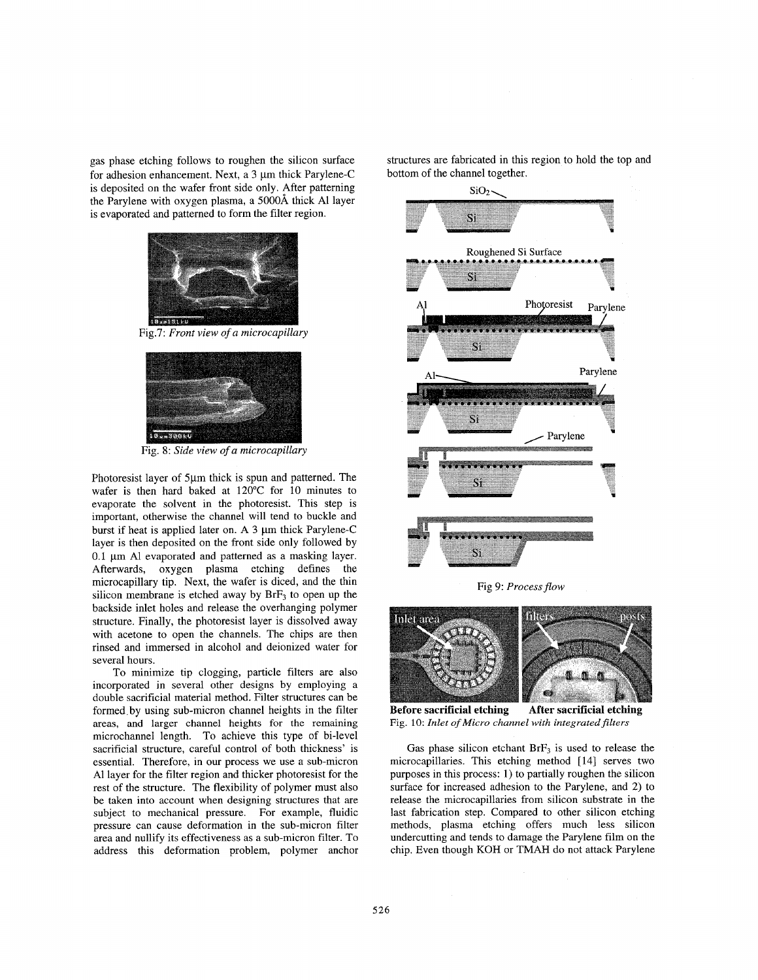gas phase etching follows to roughen the silicon surface for adhesion enhancement. Next, a  $3 \mu m$  thick Parylene-C is deposited on the wafer front side only. After patterning the Parylene with oxygen plasma, a S000A thick A1 layer is evaporated and patterned to form the filter region.



Fig.7: Front view of a microcapillary



Fig. 8: *Side view of a microcapillary* 

Photoresist layer of 5µm thick is spun and patterned. The wafer is then hard baked at 120°C for 10 minutes to evaporate the solvent in the photoresist. This step is important, otherwise the channel will tend to buckle and burst if heat is applied later on. A 3  $\mu$ m thick Parylene-C layer is then deposited on the front side only followed by 0.1 pm A1 evaporated and patterned as a masking layer. Afterwards, oxygen plasma etching defines the microcapillary tip. Next, the wafer is diced, and the thin silicon membrane is etched away by  $BrF<sub>3</sub>$  to open up the backside inlet holes and release the overhanging polymer structure. Finally, the photoresist layer is dissolved away with acetone to open the channels. The chips are then rinsed and immersed in alcohol and deionized water for several hours.

To minimize tip clogging, particle filters are also incorporated in several other designs by employing a double sacrificial material method. Filter structures can be formed. by using sub-micron channel heights in the filter areas, and larger channel heights for the remaining microchannel length. To achieve this type of bi-level sacrificial structure, careful control of both thickness' is essential. Therefore, in our process we use a sub-micron A1 layer for the filter region and thicker photoresist for the rest of the structure. The flexibility of polymer must also be taken into account when designing structures that are subject to mechanical pressure. For example, fluidic pressure can cause deformation in the sub-micron filter area and nullify its effectiveness as a sub-micron filter. To address this deformation problem, polymer anchor structures are fabricated in this region to hold the top and bottom of the channel together.



Fig 9: Process flow



**Before sacrificial etching**  Fig. **10:** *Inlet of Micro channel with integratedfilters*  **After sacrificial etching** 

Gas phase silicon etchant  $BrF<sub>3</sub>$  is used to release the microcapillaries. This etching method [ 141 serves two purposes in this process: 1) to partially roughen the silicon surface for increased adhesion to the Parylene, and 2) to release the microcapillaries from silicon substrate in the last fabrication step. Compared to other silicon etching methods, plasma etching offers much less silicon undercutting and tends to damage the Parylene film on the chip. Even though KOH or TMAH do not attack Parylene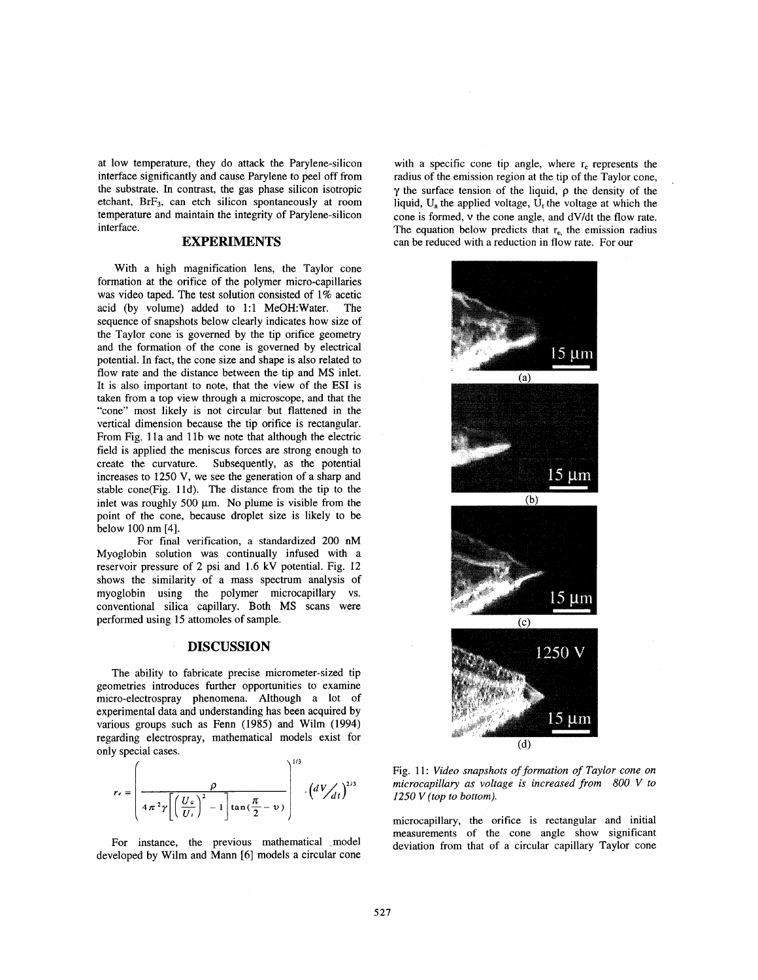at low temperature, they do attack the Parylene-silicon interface significantly and cause Parylene to peel off from the substrate. In contrast, the gas phase silicon isotropic etchant, BrF3, can etch silicon spontaneously at room temperature and maintain the integrity of Parylene-silicon interface.

## **EXPERIMENTS**

With a high magnification lens, the Taylor cone formation at the orifice of the polymer micro-capillaries was video taped. The test solution consisted of 1% acetic acid (by volume) added to 1:l Me0H:Water. The sequence of snapshots below clearly indicates how size of the Taylor cone is governed by the tip orifice geometry and the formation of the cone is governed by electrical potential. In fact, the cone size and shape is also related to flow rate and the distance between the tip and MS inlet. It is also important to note, that the view of the **ESI** is taken from a top view through a microscope, and that the "cone" most likely is not circular but flattened in the vertical dimension because the tip orifice is rectangular. From Fig. 11a and 11b we note that although the electric field is applied the meniscus forces are strong enough to create the curvature. Subsequently, as the potential increases to 1250 V, we see the generation of a sharp and stable cone(Fig. 11d). The distance from the tip to the inlet was roughly 500  $\mu$ m. No plume is visible from the point of the cone, because droplet size is likely to be below 100 nm **[4].** 

For final verification, a standardized 200 nM Myoglobin solution was continually infused with a reservoir pressure of *2* psi and 1.6 kV potential. [Fig. 12](#page-5-0) shows the similarity of a mass spectrum analysis of myoglobin using the polymer microcapillary vs. conventional silica capillary. Both MS scans were performed using 15 attomoles of sample.

### **DISCUSSION**

The ability to fabricate precise micrometer-sized tip geometries introduces further opportunities to examine micro-electrospray phenomena. Although a lot of experimental data and understanding has been acquired by various groups such as Fenn **(1985)** and Wilm **(1994)**  regarding electrospray, mathematical models exist for only special cases.  $\sim 1/2$ 

$$
r_e = \left(\frac{\rho}{4\pi^2\gamma\left[\left(\frac{U_a}{U_t}\right)^2 - 1\right]\tan\left(\frac{\pi}{2} - v\right)}\right)^{1/3} \cdot \left(dV/dt\right)^{2/3}
$$

For instance, the previous mathematical model developed by Wilm and Mann [6] models a circular cone

with a specific cone tip angle, where  $r<sub>e</sub>$  represents the radius of the emission region at the tip of the Taylor cone, y the surface tension of the liquid, **p** the density of the liquid,  $U_a$  the applied voltage,  $U_t$  the voltage at which the cone is formed, v the cone angle, and dVldt the flow rate. The equation below predicts that  $r_{e}$ , the emission radius can be reduced with a reduction in flow rate. For our



Fig. 11: *Video snapshots of formation of Taylor cone on microcapillary as voltage is increased from 800 V to 1250 V (top to bottom).* 

microcapillary, the orifice is rectangular and initial measurements of the cone angle show significant deviation from that of a circular capillary Taylor cone